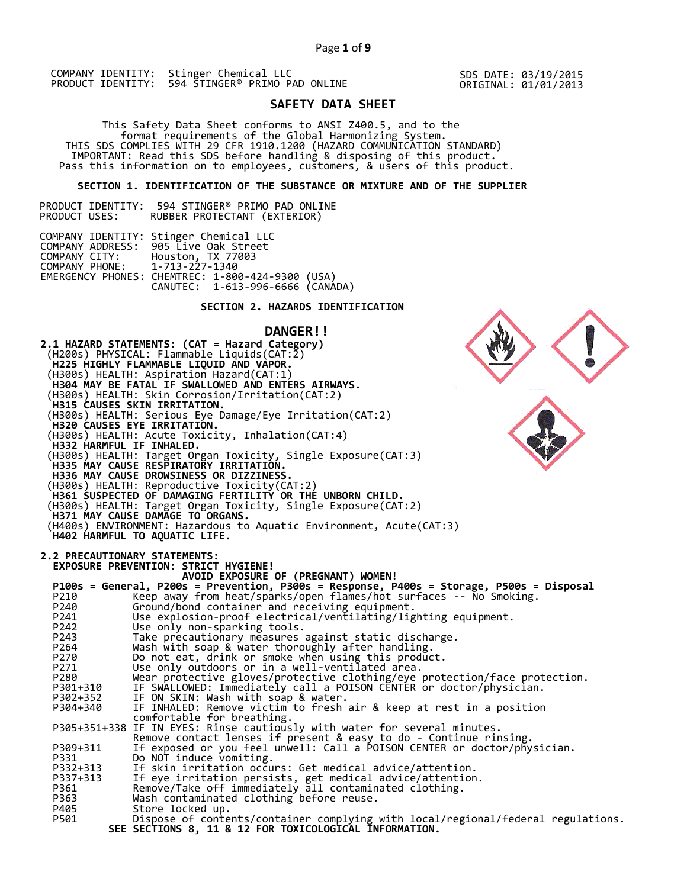SDS DATE: 03/19/2015 ORIGINAL: 01/01/2013

# **SAFETY DATA SHEET**

 This Safety Data Sheet conforms to ANSI Z400.5, and to the format requirements of the Global Harmonizing System. THIS SDS COMPLIES WITH 29 CFR 1910.1200 (HAZARD COMMUNICATION STANDARD) IMPORTANT: Read this SDS before handling & disposing of this product. Pass this information on to employees, customers, & users of this product.

# **SECTION 1. IDENTIFICATION OF THE SUBSTANCE OR MIXTURE AND OF THE SUPPLIER**

PRODUCT IDENTITY: 594 STINGER® PRIMO PAD ONLINE RUBBER PROTECTANT (EXTERIOR)

|                               | COMPANY IDENTITY: Stinger Chemical LLC           |  |
|-------------------------------|--------------------------------------------------|--|
|                               | COMPANY ADDRESS: 905 Live Oak Street             |  |
|                               | COMPANY CITY: Houston, TX 77003                  |  |
| COMPANY PHONE: 1-713-227-1340 |                                                  |  |
|                               | EMERGENCY PHONES: CHEMTREC: 1-800-424-9300 (USA) |  |
|                               | CANUTEC: 1-613-996-6666 (CANÁDA)                 |  |

# **SECTION 2. HAZARDS IDENTIFICATION**

# **DANGER!!**

**2.1 HAZARD STATEMENTS: (CAT = Hazard Category)** (H200s) PHYSICAL: Flammable Liquids(CAT:2)  **H225 HIGHLY FLAMMABLE LIQUID AND VAPOR.**  (H300s) HEALTH: Aspiration Hazard(CAT:1)  **H304 MAY BE FATAL IF SWALLOWED AND ENTERS AIRWAYS.**  (H300s) HEALTH: Skin Corrosion/Irritation(CAT:2)  **H315 CAUSES SKIN IRRITATION.**  (H300s) HEALTH: Serious Eye Damage/Eye Irritation(CAT:2)  **H320 CAUSES EYE IRRITATION.**  (H300s) HEALTH: Acute Toxicity, Inhalation(CAT:4)  **H332 HARMFUL IF INHALED.**  (H300s) HEALTH: Target Organ Toxicity, Single Exposure(CAT:3)  **H335 MAY CAUSE RESPIRATORY IRRITATION. H336 MAY CAUSE DROWSINESS OR DIZZINESS.**  (H300s) HEALTH: Reproductive Toxicity(CAT:2)  **H361 SUSPECTED OF DAMAGING FERTILITY OR THE UNBORN CHILD.**  (H300s) HEALTH: Target Organ Toxicity, Single Exposure(CAT:2)  **H371 MAY CAUSE DAMAGE TO ORGANS.**  (H400s) ENVIRONMENT: Hazardous to Aquatic Environment, Acute(CAT:3)  **H402 HARMFUL TO AQUATIC LIFE. 2.2 PRECAUTIONARY STATEMENTS: EXPOSURE PREVENTION: STRICT HYGIENE! AVOID EXPOSURE OF (PREGNANT) WOMEN! P100s = General, P200s = Prevention, P300s = Response, P400s = Storage, P500s = Disposal**  P210 Keep away from heat/sparks/open flames/hot surfaces -- No Smoking. P240 Ground/bond container and receiving equipment. P241 Use explosion-proof electrical/ventilating/lighting equipment. P242 Use only non-sparking tools. P243 Take precautionary measures against static discharge.<br>P264 Wash with soap & water thoroughly after handling. P264 Wash with soap & water thoroughly after handling. P270 Do not eat, drink or smoke when using this product. P271 Use only outdoors or in a well-ventilated area. P280 Wear protective gloves/protective clothing/eye protection/face protection. P301+310 IF SWALLOWED: Immediately call a POISON CENTER or doctor/physician. P302+352 IF ON SKIN: Wash with soap & water. P304+340 IF INHALED: Remove victim to fresh air & keep at rest in a position comfortable for breathing. P305+351+338 IF IN EYES: Rinse cautiously with water for several minutes. Remove contact lenses if present & easy to do - Continue rinsing. P309+311 If exposed or you feel unwell: Call a POISON CENTER or doctor/physician. P331 Do NOT induce vomiting. P332+313 If skin irritation occurs: Get medical advice/attention. P337+313 If eye irritation persists, get medical advice/attention. P361 Remove/Take off immediately all contaminated clothing. P363 Wash contaminated clothing before reuse.<br>P405 Store locked up. P405 Store locked up.<br>P501 Dispose of conte Dispose of contents/container complying with local/regional/federal regulations.  **SEE SECTIONS 8, 11 & 12 FOR TOXICOLOGICAL INFORMATION.**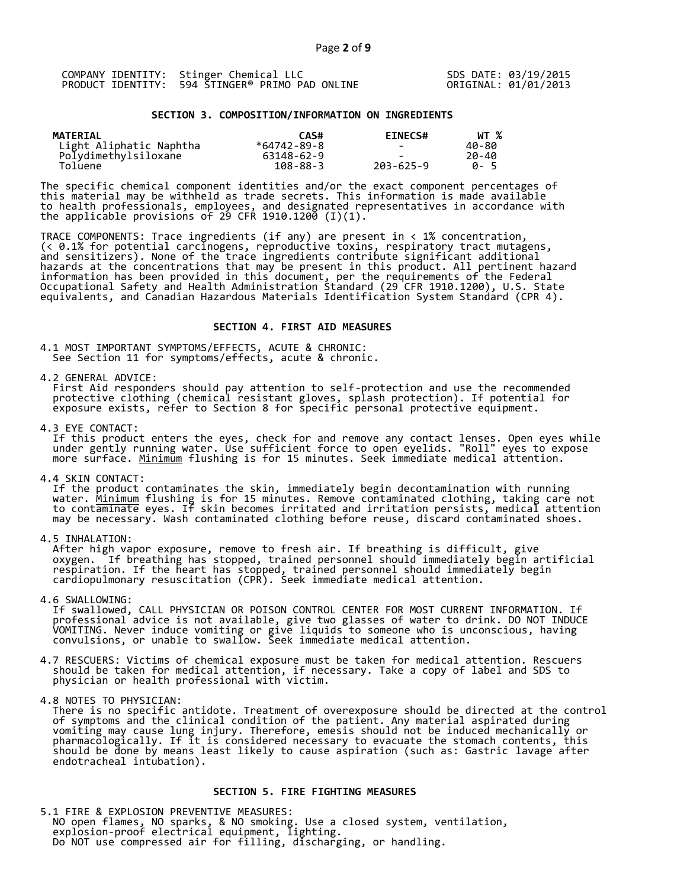|  | COMPANY IDENTITY: Stinger Chemical LLC          |
|--|-------------------------------------------------|
|  | PRODUCT IDENTITY: 594 STINGER® PRIMO PAD ONLINE |

SDS DATE: 03/19/2015 ORIGINAL: 01/01/2013

## **SECTION 3. COMPOSITION/INFORMATION ON INGREDIENTS**

| <b>MATERIAL</b>         | CAS#           | <b>EINECS#</b> | WT %        |
|-------------------------|----------------|----------------|-------------|
| Light Aliphatic Naphtha | *64742-89-8    |                | 40-80       |
| Polydimethylsiloxane    | 63148-62-9     |                | 20-40       |
| Toluene                 | $108 - 88 - 3$ | 203-625-9      | <b>A</b> -5 |

The specific chemical component identities and/or the exact component percentages of this material may be withheld as trade secrets. This information is made available to health professionals, employees, and designated representatives in accordance with the applicable provisions of 29 CFR 1910.1200̄ (I)(1).  $\overline{\phantom{a}}$ 

TRACE COMPONENTS: Trace ingredients (if any) are present in < 1% concentration, (< 0.1% for potential carcinogens, reproductive toxins, respiratory tract mutagens, and sensitizers). None of the trace ingredients contribute significant additional hazards at the concentrations that may be present in this product. All pertinent hazard information has been provided in this document, per the requirements of the Federal Occupational Safety and Health Administration Standard (29 CFR 1910.1200), U.S. State equivalents, and Canadian Hazardous Materials Identification System Standard (CPR 4).

## **SECTION 4. FIRST AID MEASURES**

4.1 MOST IMPORTANT SYMPTOMS/EFFECTS, ACUTE & CHRONIC: See Section 11 for symptoms/effects, acute & chronic.

4.2 GENERAL ADVICE:

 First Aid responders should pay attention to self-protection and use the recommended protective clothing (chemical resistant gloves, splash protection). If potential for exposure exists, refer to Section 8 for specific personal protective equipment.

4.3 EYE CONTACT:

 If this product enters the eyes, check for and remove any contact lenses. Open eyes while under gently running water. Use sufficient force to open eyelids. "Roll" eyes to expose more surface. <u>Minimum</u> flushing is for 15 minutes. Seek immediate medical attention.

4.4 SKIN CONTACT:

 If the product contaminates the skin, immediately begin decontamination with running water. <u>Minimum</u> flushing is for 15 minutes. Remove contaminated clothing, taking care not to contaminate eyes. If skin becomes irritated and irritation persists, medical attention may be necessary. Wash contaminated clothing before reuse, discard contaminated shoes.

4.5 INHALATION:

 After high vapor exposure, remove to fresh air. If breathing is difficult, give oxygen. If breathing has stopped, trained personnel should immediately begin artificial respiration. If the heart has stopped, trained personnel should immediately begin cardiopulmonary resuscitation (CPR). Seek immediate medical attention.

4.6 SWALLOWING:

 If swallowed, CALL PHYSICIAN OR POISON CONTROL CENTER FOR MOST CURRENT INFORMATION. If professional advice is not available, give two glasses of water to drink. DO NOT INDUCE VOMITING. Never induce vomiting or give liquids to someone who is unconscious, having convulsions, or unable to swallow. Seek immediate medical attention.

4.7 RESCUERS: Victims of chemical exposure must be taken for medical attention. Rescuers should be taken for medical attention, if necessary. Take a copy of label and SDS to physician or health professional with victim.

4.8 NOTES TO PHYSICIAN:

 There is no specific antidote. Treatment of overexposure should be directed at the control of symptoms and the clinical condition of the patient. Any material aspirated during vomiting may cause lung injury. Therefore, emesis should not be induced mechanically or pharmacologically. If it is considered necessary to evacuate the stomach contents, this should be done by means least likely to cause aspiration (such as: Gastric lavage after endotracheal intubation).

## **SECTION 5. FIRE FIGHTING MEASURES**

5.1 FIRE & EXPLOSION PREVENTIVE MEASURES: NO open flames, NO sparks, & NO smoking. Use a closed system, ventilation, explosion-proof electrical equipment, lighting. Do NOT use compressed air for filling, discharging, or handling.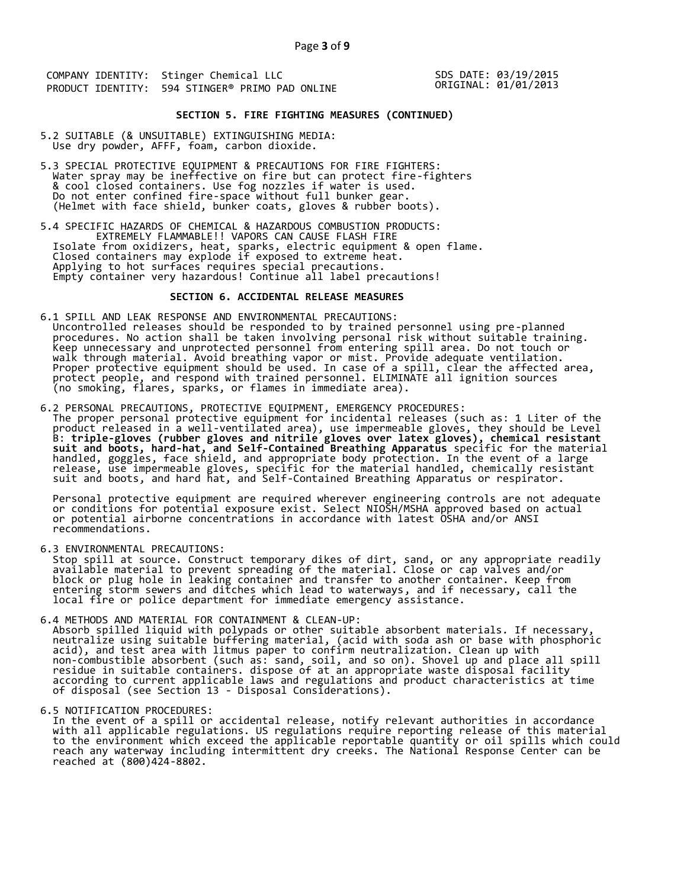SDS DATE: 03/19/2015 ORIGINAL: 01/01/2013

# **SECTION 5. FIRE FIGHTING MEASURES (CONTINUED)**

- 5.2 SUITABLE (& UNSUITABLE) EXTINGUISHING MEDIA: Use dry powder, AFFF, foam, carbon dioxide.
- 5.3 SPECIAL PROTECTIVE EQUIPMENT & PRECAUTIONS FOR FIRE FIGHTERS: Water spray may be ineffective on fire but can protect fire-fighters & cool closed containers. Use fog nozzles if water is used. Do not enter confined fire-space without full bunker gear. (Helmet with face shield, bunker coats, gloves & rubber boots).
- 5.4 SPECIFIC HAZARDS OF CHEMICAL & HAZARDOUS COMBUSTION PRODUCTS: EXTREMELY FLAMMABLE!! VAPORS CAN CAUSE FLASH FIRE Isolate from oxidizers, heat, sparks, electric equipment & open flame. Closed containers may explode if exposed to extreme heat. Applying to hot surfaces requires special precautions. Empty container very hazardous! Continue all label precautions!

## **SECTION 6. ACCIDENTAL RELEASE MEASURES**

- 6.1 SPILL AND LEAK RESPONSE AND ENVIRONMENTAL PRECAUTIONS: Uncontrolled releases should be responded to by trained personnel using pre-planned procedures. No action shall be taken involving personal risk without suitable training. Keep unnecessary and unprotected personnel from entering spill area. Do not touch or walk through material. Avoid breathing vapor or mist. Provide adequate ventilation. Proper protective equipment should be used. In case of a spill, clear the affected area, protect people, and respond with trained personnel. ELIMINATE all ignition sources (no smoking, flares, sparks, or flames in immediate area).
- 6.2 PERSONAL PRECAUTIONS, PROTECTIVE EQUIPMENT, EMERGENCY PROCEDURES: The proper personal protective equipment for incidental releases (such as: 1 Liter of the product released in a well-ventilated area), use impermeable gloves, they should be Level B: **triple-gloves (rubber gloves and nitrile gloves over latex gloves), chemical resistant suit and boots, hard-hat, and Self-Contained Breathing Apparatus** specific for the material handled, goggles, face shield, and appropriate body protection. In the event of a large release, use impermeable gloves, specific for the material handled, chemically resistant suit and boots, and hard hat, and Self-Contained Breathing Apparatus or respirator.

 Personal protective equipment are required wherever engineering controls are not adequate or conditions for potential exposure exist. Select NIOSH/MSHA approved based on actual or potential airborne concentrations in accordance with latest OSHA and/or ANSI recommendations.

6.3 ENVIRONMENTAL PRECAUTIONS:

 Stop spill at source. Construct temporary dikes of dirt, sand, or any appropriate readily available material to prevent spreading of the material. Close or cap valves and/or block or plug hole in leaking container and transfer to another container. Keep from entering storm sewers and ditches which lead to waterways, and if necessary, call the local fire or police department for immediate emergency assistance.

- 6.4 METHODS AND MATERIAL FOR CONTAINMENT & CLEAN-UP: Absorb spilled liquid with polypads or other suitable absorbent materials. If necessary, neutralize using suitable buffering material, (acid with soda ash or base with phosphoric acid), and test area with litmus paper to confirm neutralization. Clean up with non-combustible absorbent (such as: sand, soil, and so on). Shovel up and place all spill residue in suitable containers. dispose of at an appropriate waste disposal facility according to current applicable laws and regulations and product characteristics at time of disposal (see Section 13 - Disposal Considerations).
- 

6.5 NOTIFICATION PROCEDURES:<br>In the event of a spill or accidental release, notify relevant authorities in accordance In the event of a spill or accidental release, notify relevant authorities in accordance with all applicable regulations. US regulations require reporting release of this material to the environment which exceed the applicable reportable quantity or oil spills which could reach any waterway including intermittent dry creeks. The National Response Center can be reached at (800)424-8802.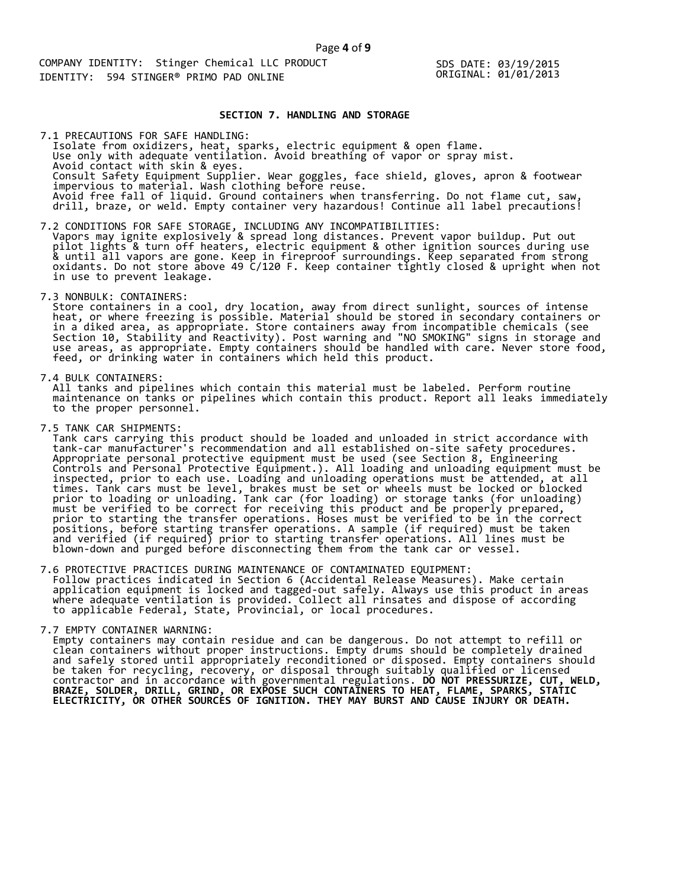SDS DATE: 03/19/2015 ORIGINAL: 01/01/2013

## **SECTION 7. HANDLING AND STORAGE**

 Isolate from oxidizers, heat, sparks, electric equipment & open flame. Use only with adequate ventilation. Avoid breathing of vapor or spray mist. Avoid contact with skin & eyes. Consult Safety Equipment Supplier. Wear goggles, face shield, gloves, apron & footwear impervious to material. Wash clothing before reuse. Avoid free fall of liquid. Ground containers when transferring. Do not flame cut, saw, drill, braze, or weld. Empty container very hazardous! Continue all label precautions! 7.1 PRECAUTIONS FOR SAFE HANDLING:

7.2 CONDITIONS FOR SAFE STORAGE, INCLUDING ANY INCOMPATIBILITIES: Vapors may ignite explosively & spread long distances. Prevent vapor buildup. Put out pilot lights & turn off heaters, electric equipment & other ignition sources during use & until all vapors are gone. Keep in fireproof surroundings. Keep separated from strong oxidants. Do not store above 49 C/120 F. Keep container tightly closed & upright when not in use to prevent leakage.

7.3 NONBULK: CONTAINERS:

 Store containers in a cool, dry location, away from direct sunlight, sources of intense heat, or where freezing is possible. Material should be stored in secondary containers or in a diked area, as appropriate. Store containers away from incompatible chemicals (see Section 10, Stability and Reactivity). Post warning and "NO SMOKING" signs in storage and use areas, as appropriate. Empty containers should be handled with care. Never store food, feed, or drinking water in containers which held this product.

7.4 BULK CONTAINERS:

 All tanks and pipelines which contain this material must be labeled. Perform routine maintenance on tanks or pipelines which contain this product. Report all leaks immediately to the proper personnel.

7.5 TANK CAR SHIPMENTS:

 Tank cars carrying this product should be loaded and unloaded in strict accordance with tank-car manufacturer's recommendation and all established on-site safety procedures. Appropriate personal protective equipment must be used (see Section 8, Engineering Controls and Personal Protective Equipment.). All loading and unloading equipment must be inspected, prior to each use. Loading and unloading operations must be attended, at all times. Tank cars must be level, brakes must be set or wheels must be locked or blocked prior to loading or unloading. Tank car (for loading) or storage tanks (for unloading) must be verified to be correct for receiving this product and be properly prepared, prior to starting the transfer operations. Hoses must be verified to be in the correct positions, before starting transfer operations. A sample (if required) must be taken and verified (if required) prior to starting transfer operations. All lines must be blown-down and purged before disconnecting them from the tank car or vessel.

7.6 PROTECTIVE PRACTICES DURING MAINTENANCE OF CONTAMINATED EQUIPMENT: Follow practices indicated in Section 6 (Accidental Release Measures). Make certain application equipment is locked and tagged-out safely. Always use this product in areas where adequate ventilation is provided. Collect all rinsates and dispose of according to applicable Federal, State, Provincial, or local procedures.

7.7 EMPTY CONTAINER WARNING:

 Empty containers may contain residue and can be dangerous. Do not attempt to refill or clean containers without proper instructions. Empty drums should be completely drained and safely stored until appropriately reconditioned or disposed. Empty containers should be taken for recycling, recovery, or disposal through suitably qualified or licensed contractor and in accordance with governmental regulations. **DO NOT PRESSURIZE, CUT, WELD, BRAZE, SOLDER, DRILL, GRIND, OR EXPOSE SUCH CONTAINERS TO HEAT, FLAME, SPARKS, STATIC ELECTRICITY, OR OTHER SOURCES OF IGNITION. THEY MAY BURST AND CAUSE INJURY OR DEATH.**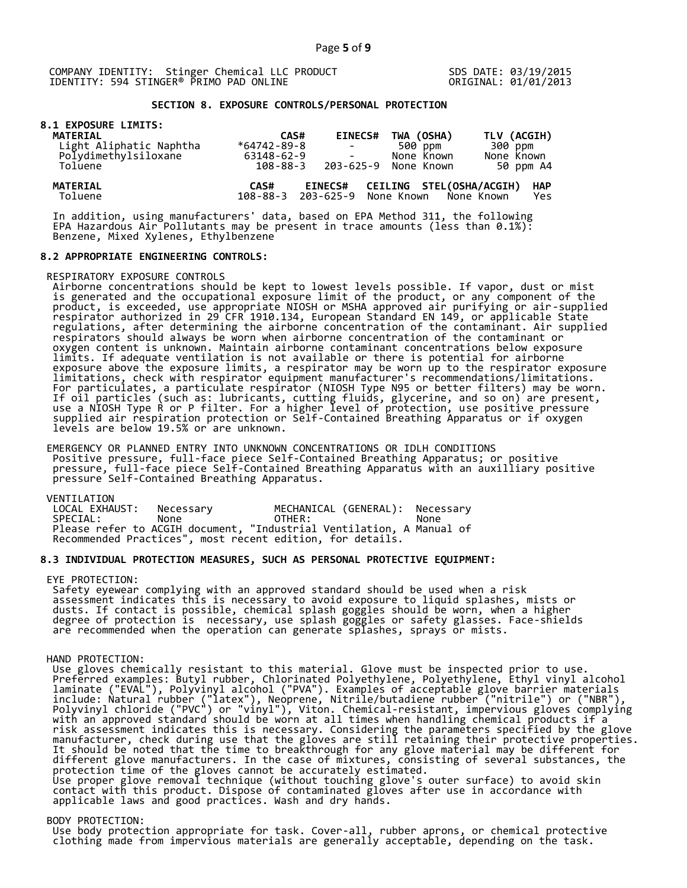SDS DATE: 03/19/2015 ORIGINAL: 01/01/2013

# **SECTION 8. EXPOSURE CONTROLS/PERSONAL PROTECTION**

|  |  | <b>8.1 EXPOSURE LIMITS:</b> |
|--|--|-----------------------------|
|  |  |                             |

| <b>MATERIAL</b>            | CAS#              | <b>EINECS#</b>                                  | TWA (OSHA)               | TLV (ACGIH)                     |
|----------------------------|-------------------|-------------------------------------------------|--------------------------|---------------------------------|
| Light Aliphatic Naphtha    | $*64742 - 89 - 8$ | <b>Contract Contract</b>                        | 500 ppm                  | 300 ppm                         |
| Polydimethylsiloxane       | 63148-62-9        |                                                 | None Known               | None Known                      |
| Toluene                    | 108-88-3          |                                                 | 203-625-9 None Known     | 50 ppm A4                       |
| <b>MATERIAL</b><br>Toluene | CAS#              | <b>EINECS#</b><br>108-88-3 203-625-9 None Known | CEILING STEL(OSHA/ACGIH) | <b>HAP</b><br>None Known<br>Yes |

 In addition, using manufacturers' data, based on EPA Method 311, the following EPA Hazardous Air Pollutants may be present in trace amounts (less than 0.1%): Benzene, Mixed Xylenes, Ethylbenzene

#### **8.2 APPROPRIATE ENGINEERING CONTROLS:**

RESPIRATORY EXPOSURE CONTROLS

 Airborne concentrations should be kept to lowest levels possible. If vapor, dust or mist is generated and the occupational exposure limit of the product, or any component of the product, is exceeded, use appropriate NIOSH or MSHA approved air purifying or air-supplied respirator authorized in 29 CFR 1910.134, European Standard EN 149, or applicable State regulations, after determining the airborne concentration of the contaminant. Air supplied respirators should always be worn when airborne concentration of the contaminant or oxygen content is unknown. Maintain airborne contaminant concentrations below exposure limits. If adequate ventilation is not available or there is potential for airborne exposure above the exposure limits, a respirator may be worn up to the respirator exposure limitations, check with respirator equipment manufacturer's recommendations/limitations. For particulates, a particulate respirator (NIOSH Type N95 or better filters) may be worn. If oil particles (such as: lubricants, cutting fluids, glycerine, and so on) are present, use a NIOSH Type R or P filter. For a higher level of protection, use positive pressure supplied air respiration protection or Self-Contained Breathing Apparatus or if oxygen levels are below 19.5% or are unknown.

 EMERGENCY OR PLANNED ENTRY INTO UNKNOWN CONCENTRATIONS OR IDLH CONDITIONS Positive pressure, full-face piece Self-Contained Breathing Apparatus; or positive pressure, full-face piece Self-Contained Breathing Apparatus with an auxilliary positive pressure Self-Contained Breathing Apparatus.

VENTILATION<br>LOCAL EXHAUST: Necessary MECHANICAL (GENERAL): Necessary SPECIAL: None OTHER: None Please refer to ACGIH document, "Industrial Ventilation, A Manual of Recommended Practices", most recent edition, for details.

# **8.3 INDIVIDUAL PROTECTION MEASURES, SUCH AS PERSONAL PROTECTIVE EQUIPMENT:**

#### EYE PROTECTION:

 Safety eyewear complying with an approved standard should be used when a risk assessment indicates this is necessary to avoid exposure to liquid splashes, mists or dusts. If contact is possible, chemical splash goggles should be worn, when a higher degree of protection is necessary, use splash goggles or safety glasses. Face-shields are recommended when the operation can generate splashes, sprays or mists.

#### HAND PROTECTION:

 Use gloves chemically resistant to this material. Glove must be inspected prior to use. Preferred examples: Butyl rubber, Chlorinated Polyethylene, Polyethylene, Ethyl vinyl alcohol laminate ("EVAL"), Polyvinyl alcohol ("PVA"). Examples of acceptable glove barrier materials include: Natural rubber ("latex"), Neoprene, Nitrile/butadiene rubber ("nitrile") or ("NBR"), Polyvinyl chloride ("PVC") or "vinyl"), Viton. Chemical-resistant, impervious gloves complying with an approved standard should be worn at all times when handling chemical products if a risk assessment indicates this is necessary. Considering the parameters specified by the glove manufacturer, check during use that the gloves are still retaining their protective properties. It should be noted that the time to breakthrough for any glove material may be different for different glove manufacturers. In the case of mixtures, consisting of several substances, the protection time of the gloves cannot be accurately estimated. Use proper glove removal technique (without touching glove's outer surface) to avoid skin contact with this product. Dispose of contaminated gloves after use in accordance with applicable laws and good practices. Wash and dry hands.

#### BODY PROTECTION:

 Use body protection appropriate for task. Cover-all, rubber aprons, or chemical protective clothing made from impervious materials are generally acceptable, depending on the task.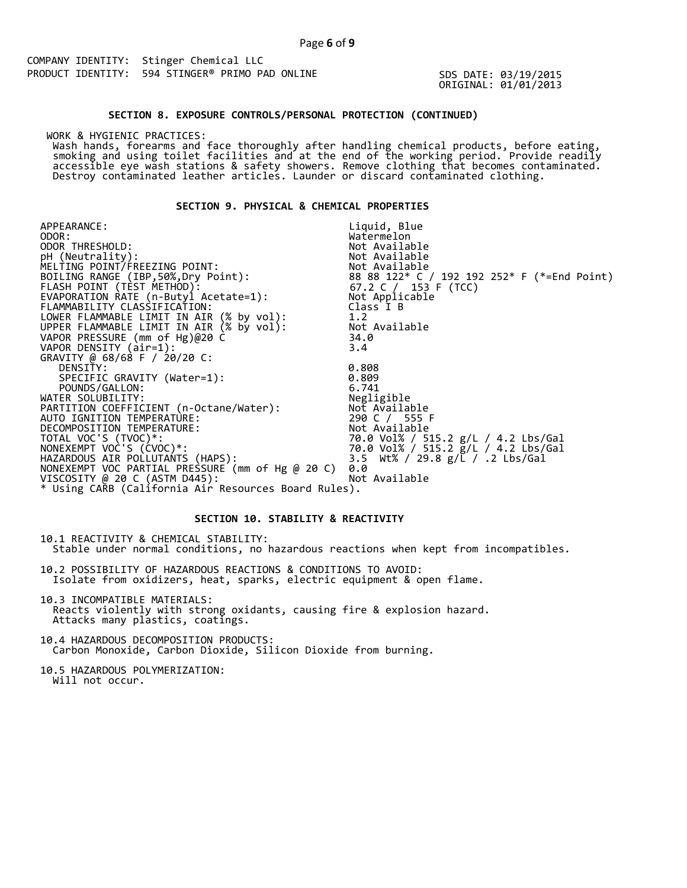SDS DATE: 03/19/2015 ORIGINAL: 01/01/2013

#### **SECTION 8. EXPOSURE CONTROLS/PERSONAL PROTECTION (CONTINUED)**

WORK & HYGIENIC PRACTICES:

 Wash hands, forearms and face thoroughly after handling chemical products, before eating, smoking and using toilet facilities and at the end of the working period. Provide readily accessible eye wash stations & safety showers. Remove clothing that becomes contaminated. Destroy contaminated leather articles. Launder or discard contaminated clothing.

# **SECTION 9. PHYSICAL & CHEMICAL PROPERTIES**

APPEARANCE: ODOR:<br>ODOR THRESHOLD: Liquid, Blue Watermelon<br>Not Available ODOR THRESHOLD: Not Available pH (Neutrality): Not Available is a set of  $\mathbb N$ MELTING POINT/FREEZING POINT: Not Available  $8888122*$  C / 192 192 252\* F (\*=End Point) 67.2 C  $/$  153 F (TCC) Not Applicable Class I B 1.2 Not Available 34.0<br>3.4 FLASH POINT (TEST METHOD): EVAPORATION RATE (n-Butyl Acetate=1): FLAMMABILITY CLASSIFICATION: LOWER FLAMMABLE LIMIT IN AIR (% by vol): UPPER FLAMMABLE LIMIT IN AIR (% by vol): VAPOR PRESSURE (mm of Hg)@20 C VAPOR DENSITY (air=1): 3.4 GRAVITY @ 68/68 F / 20/20 C: DENSITY: 0.808 SPECIFIC GRAVITY (Water=1): 0.809 POUNDS/GALLON: 6.741 WATER SOLUBILITY: Negligible PARTITION COEFFICIENT (n-Octane/Water): Not Available AUTO IGNITION TEMPERATURE: 290 C / 555 F DECOMPOSITION TEMPERATURE: Not Available TOTAL VOC'S (TVOC)\*: 70.0 Vol% / 515.2 g/L / 4.2 Lbs/Gal NONEXEMPT VOC'S (CVOC)\*: 70.0 Vol% / 515.2 g/L / 4.2 Lbs/Gal HAZARDOUS AIR POLLUTANTS (HAPS): 3.5 Wt% / 29.8 g/L / .2 Lbs/Gal NONEXEMPT VOC PARTIAL PRESSURE (mm of Hg @ 20 C) 0.0 VISCOSITY @ 20 C (ASTM D445): Not Available \* Using CARB (California Air Resources Board Rules).

# **SECTION 10. STABILITY & REACTIVITY**

10.1 REACTIVITY & CHEMICAL STABILITY: Stable under normal conditions, no hazardous reactions when kept from incompatibles.

10.2 POSSIBILITY OF HAZARDOUS REACTIONS & CONDITIONS TO AVOID: Isolate from oxidizers, heat, sparks, electric equipment & open flame.

10.3 INCOMPATIBLE MATERIALS: Reacts violently with strong oxidants, causing fire & explosion hazard. Attacks many plastics, coatings.

10.4 HAZARDOUS DECOMPOSITION PRODUCTS: Carbon Monoxide, Carbon Dioxide, Silicon Dioxide from burning.

10.5 HAZARDOUS POLYMERIZATION: Will not occur.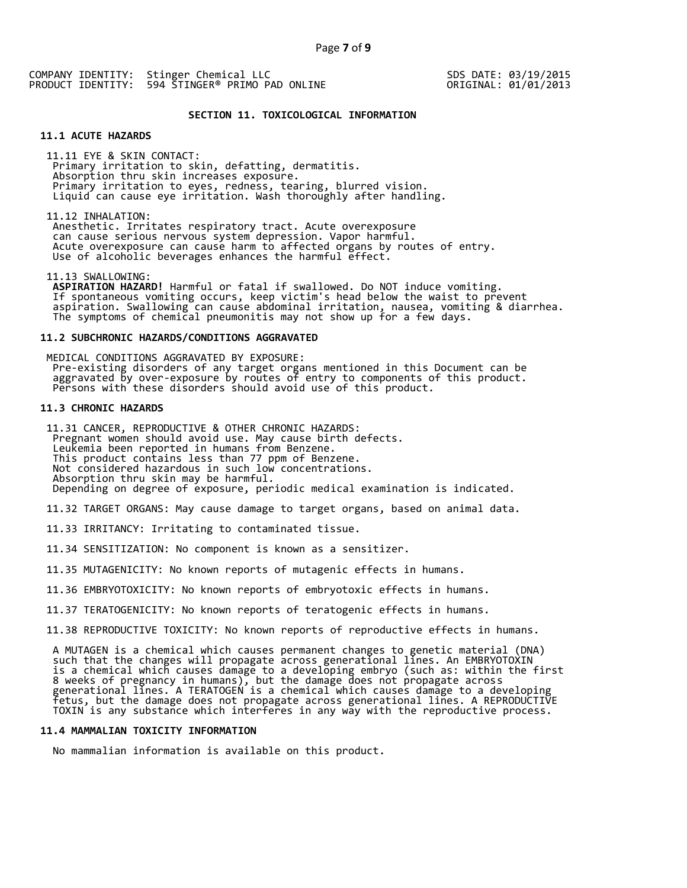SDS DATE: 03/19/2015 ORIGINAL: 01/01/2013

## **SECTION 11. TOXICOLOGICAL INFORMATION**

# **11.1 ACUTE HAZARDS**

 11.11 EYE & SKIN CONTACT: Primary irritation to skin, defatting, dermatitis. Absorption thru skin increases exposure. Primary irritation to eyes, redness, tearing, blurred vision. Liquid can cause eye irritation. Wash thoroughly after handling.

11.12 INHALATION:

 Anesthetic. Irritates respiratory tract. Acute overexposure can cause serious nervous system depression. Vapor harmful. Acute overexposure can cause harm to affected organs by routes of entry. Use of alcoholic beverages enhances the harmful effect.

11.13 SWALLOWING:

 **ASPIRATION HAZARD!** Harmful or fatal if swallowed. Do NOT induce vomiting. If spontaneous vomiting occurs, keep victim's head below the waist to prevent aspiration. Swallowing can cause abdominal irritation, nausea, vomiting & diarrhea. The symptoms of chemical pneumonitis may not show up for a few days.

# **11.2 SUBCHRONIC HAZARDS/CONDITIONS AGGRAVATED**

 MEDICAL CONDITIONS AGGRAVATED BY EXPOSURE: Pre-existing disorders of any target organs mentioned in this Document can be aggravated by over-exposure by routes of entry to components of this product. Persons with these disorders should avoid use of this product.

# **11.3 CHRONIC HAZARDS**

 11.31 CANCER, REPRODUCTIVE & OTHER CHRONIC HAZARDS: Pregnant women should avoid use. May cause birth defects. Leukemia been reported in humans from Benzene. This product contains less than 77 ppm of Benzene. Not considered hazardous in such low concentrations. Absorption thru skin may be harmful. Depending on degree of exposure, periodic medical examination is indicated.

11.32 TARGET ORGANS: May cause damage to target organs, based on animal data.

11.33 IRRITANCY: Irritating to contaminated tissue.

11.34 SENSITIZATION: No component is known as a sensitizer.

11.35 MUTAGENICITY: No known reports of mutagenic effects in humans.

11.36 EMBRYOTOXICITY: No known reports of embryotoxic effects in humans.

11.37 TERATOGENICITY: No known reports of teratogenic effects in humans.

11.38 REPRODUCTIVE TOXICITY: No known reports of reproductive effects in humans.

 A MUTAGEN is a chemical which causes permanent changes to genetic material (DNA) such that the changes will propagate across generational lines. An EMBRYOTOXIN is a chemical which causes damage to a developing embryo (such as: within the first 8 weeks of pregnancy in humans), but the damage does not propagate across generational lines. A TERATOGEN is a chemical which causes damage to a developing fetus, but the damage does not propagate across generational lines. A REPRODUCTIVE TOXIN is any substance which interferes in any way with the reproductive process.

## **11.4 MAMMALIAN TOXICITY INFORMATION**

No mammalian information is available on this product.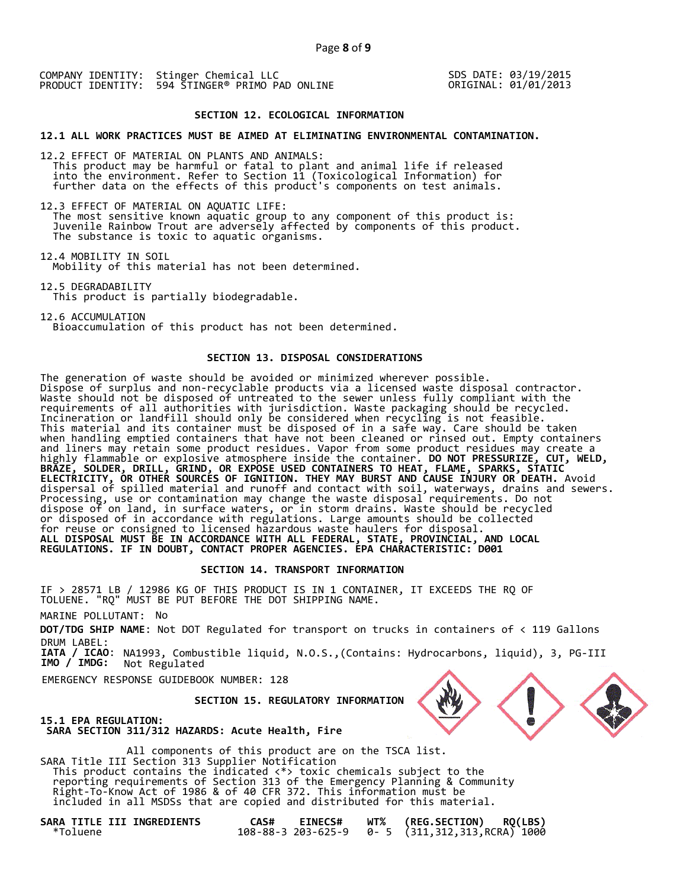SDS DATE: 03/19/2015 ORIGINAL: 01/01/2013

## **SECTION 12. ECOLOGICAL INFORMATION**

**12.1 ALL WORK PRACTICES MUST BE AIMED AT ELIMINATING ENVIRONMENTAL CONTAMINATION.** 

12.2 EFFECT OF MATERIAL ON PLANTS AND ANIMALS: This product may be harmful or fatal to plant and animal life if released into the environment. Refer to Section 11 (Toxicological Information) for further data on the effects of this product's components on test animals.

12.3 EFFECT OF MATERIAL ON AQUATIC LIFE: The most sensitive known aquatic group to any component of this product is: Juvenile Rainbow Trout are adversely affected by components of this product. The substance is toxic to aquatic organisms.

12.4 MOBILITY IN SOIL Mobility of this material has not been determined.

12.5 DEGRADABILITY This product is partially biodegradable.

12.6 ACCUMULATION Bioaccumulation of this product has not been determined.

# **SECTION 13. DISPOSAL CONSIDERATIONS**

The generation of waste should be avoided or minimized wherever possible. Dispose of surplus and non-recyclable products via a licensed waste disposal contractor. Waste should not be disposed of untreated to the sewer unless fully compliant with the requirements of all authorities with jurisdiction. Waste packaging should be recycled. Incineration or landfill should only be considered when recycling is not feasible. This material and its container must be disposed of in a safe way. Care should be taken when handling emptied containers that have not been cleaned or rinsed out. Empty containers and liners may retain some product residues. Vapor from some product residues may create a highly flammable or explosive atmosphere inside the container. **DO NOT PRESSURIZE, CUT, WELD, BRAZE, SOLDER, DRILL, GRIND, OR EXPOSE USED CONTAINERS TO HEAT, FLAME, SPARKS, STATIC ELECTRICITY, OR OTHER SOURCES OF IGNITION. THEY MAY BURST AND CAUSE INJURY OR DEATH.** Avoid dispersal of spilled material and runoff and contact with soil, waterways, drains and sewers. Processing, use or contamination may change the waste disposal requirements. Do not dispose of on land, in surface waters, or in storm drains. Waste should be recycled or disposed of in accordance with regulations. Large amounts should be collected for reuse or consigned to licensed hazardous waste haulers for disposal. **ALL DISPOSAL MUST BE IN ACCORDANCE WITH ALL FEDERAL, STATE, PROVINCIAL, AND LOCAL REGULATIONS. IF IN DOUBT, CONTACT PROPER AGENCIES. EPA CHARACTERISTIC: D001** 

# **SECTION 14. TRANSPORT INFORMATION**

IF > 28571 LB / 12986 KG OF THIS PRODUCT IS IN 1 CONTAINER, IT EXCEEDS THE RQ OF TOLUENE. "RQ" MUST BE PUT BEFORE THE DOT SHIPPING NAME.

MARINE POLLUTANT: No

**DOT/TDG SHIP NAME**: Not DOT Regulated for transport on trucks in containers of < 119 Gallons DRUM LABEL:

**IATA / ICAO**: NA1993, Combustible liquid, N.O.S.,(Contains: Hydrocarbons, liquid), 3, PG-III **IMO / IMDG:** Not Regulated

EMERGENCY RESPONSE GUIDEBOOK NUMBER: 128

 **SECTION 15. REGULATORY INFORMATION** 



**15.1 EPA REGULATION: SARA SECTION 311/312 HAZARDS: Acute Health, Fire** 

 All components of this product are on the TSCA list. SARA Title III Section 313 Supplier Notification This product contains the indicated <\*> toxic chemicals subject to the reporting requirements of Section 313 of the Emergency Planning & Community Right-To-Know Act of 1986 & of 40 CFR 372. This information must be included in all MSDSs that are copied and distributed for this material.

**SARA TITLE III INGREDIENTS CAS# EINECS# WT% (REG.SECTION) RQ(LBS)**  \*Toluene 108-88-3 203-625-9 0- 5 (311,312,313,RCRA) 1000